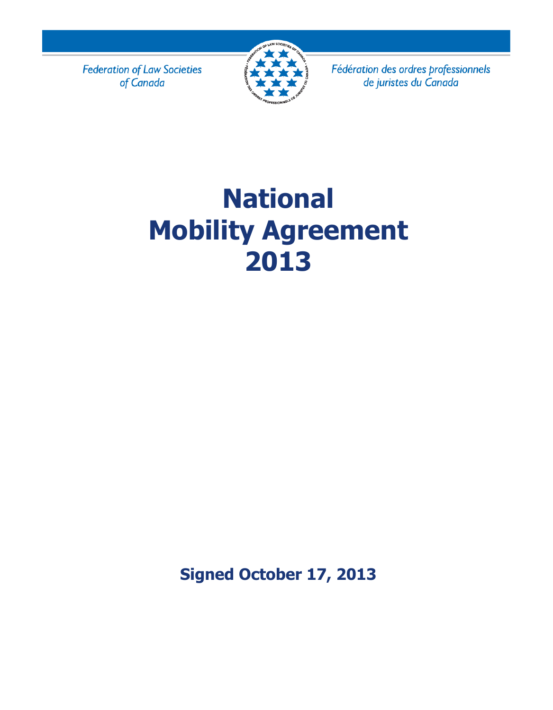**Federation of Law Societies** of Canada



Fédération des ordres professionnels de juristes du Canada

# **National Mobility Agreement 2013**

**Signed October 17, 2013**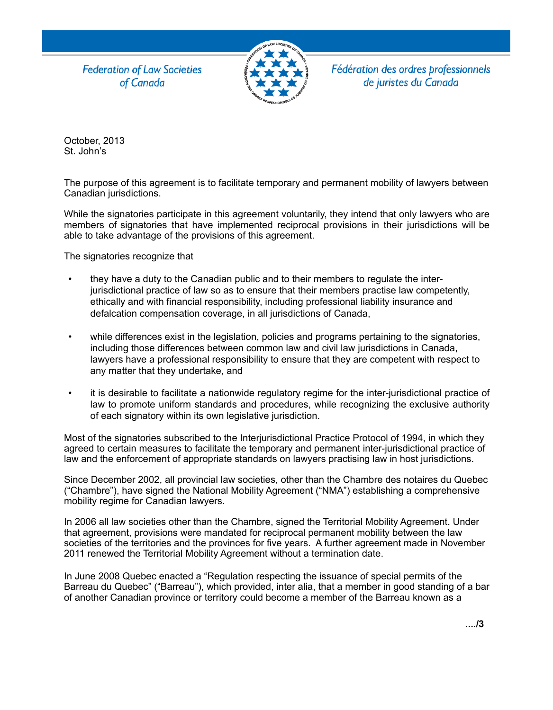**Federation of Law Societies** of Canada



Fédération des ordres professionnels de juristes du Canada

October, 2013 St. John's

The purpose of this agreement is to facilitate temporary and permanent mobility of lawyers between Canadian jurisdictions.

While the signatories participate in this agreement voluntarily, they intend that only lawyers who are members of signatories that have implemented reciprocal provisions in their jurisdictions will be able to take advantage of the provisions of this agreement.

The signatories recognize that

- they have a duty to the Canadian public and to their members to regulate the interjurisdictional practice of law so as to ensure that their members practise law competently, ethically and with financial responsibility, including professional liability insurance and defalcation compensation coverage, in all jurisdictions of Canada,
- while differences exist in the legislation, policies and programs pertaining to the signatories, including those differences between common law and civil law jurisdictions in Canada, lawyers have a professional responsibility to ensure that they are competent with respect to any matter that they undertake, and
- it is desirable to facilitate a nationwide regulatory regime for the inter-jurisdictional practice of law to promote uniform standards and procedures, while recognizing the exclusive authority of each signatory within its own legislative jurisdiction.

Most of the signatories subscribed to the Interjurisdictional Practice Protocol of 1994, in which they agreed to certain measures to facilitate the temporary and permanent inter-jurisdictional practice of law and the enforcement of appropriate standards on lawyers practising law in host jurisdictions.

Since December 2002, all provincial law societies, other than the Chambre des notaires du Quebec ("Chambre"), have signed the National Mobility Agreement ("NMA") establishing a comprehensive mobility regime for Canadian lawyers.

In 2006 all law societies other than the Chambre, signed the Territorial Mobility Agreement. Under that agreement, provisions were mandated for reciprocal permanent mobility between the law societies of the territories and the provinces for five years. A further agreement made in November 2011 renewed the Territorial Mobility Agreement without a termination date.

In June 2008 Quebec enacted a "Regulation respecting the issuance of special permits of the Barreau du Quebec" ("Barreau"), which provided, inter alia, that a member in good standing of a bar of another Canadian province or territory could become a member of the Barreau known as a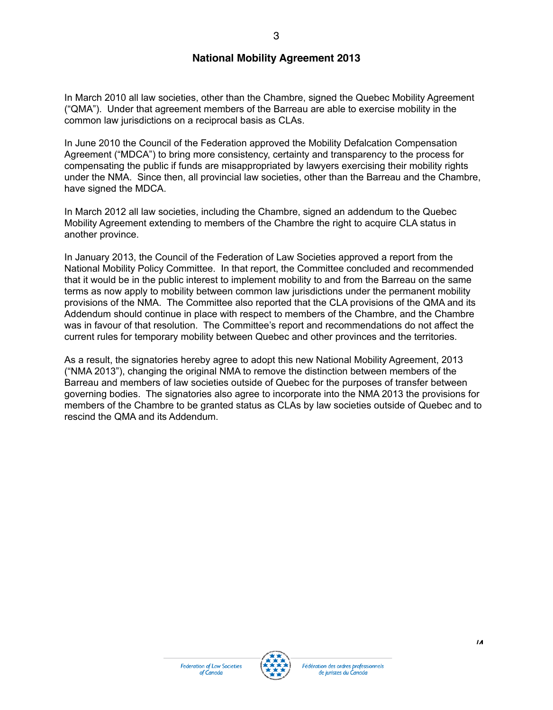In March 2010 all law societies, other than the Chambre, signed the Quebec Mobility Agreement ("QMA"). Under that agreement members of the Barreau are able to exercise mobility in the common law jurisdictions on a reciprocal basis as CLAs.

In June 2010 the Council of the Federation approved the Mobility Defalcation Compensation Agreement ("MDCA") to bring more consistency, certainty and transparency to the process for compensating the public if funds are misappropriated by lawyers exercising their mobility rights under the NMA. Since then, all provincial law societies, other than the Barreau and the Chambre, have signed the MDCA.

In March 2012 all law societies, including the Chambre, signed an addendum to the Quebec Mobility Agreement extending to members of the Chambre the right to acquire CLA status in another province.

In January 2013, the Council of the Federation of Law Societies approved a report from the National Mobility Policy Committee. In that report, the Committee concluded and recommended that it would be in the public interest to implement mobility to and from the Barreau on the same terms as now apply to mobility between common law jurisdictions under the permanent mobility provisions of the NMA. The Committee also reported that the CLA provisions of the QMA and its Addendum should continue in place with respect to members of the Chambre, and the Chambre was in favour of that resolution. The Committee's report and recommendations do not affect the current rules for temporary mobility between Quebec and other provinces and the territories.

As a result, the signatories hereby agree to adopt this new National Mobility Agreement, 2013 ("NMA 2013"), changing the original NMA to remove the distinction between members of the Barreau and members of law societies outside of Quebec for the purposes of transfer between governing bodies. The signatories also agree to incorporate into the NMA 2013 the provisions for members of the Chambre to be granted status as CLAs by law societies outside of Quebec and to rescind the QMA and its Addendum.



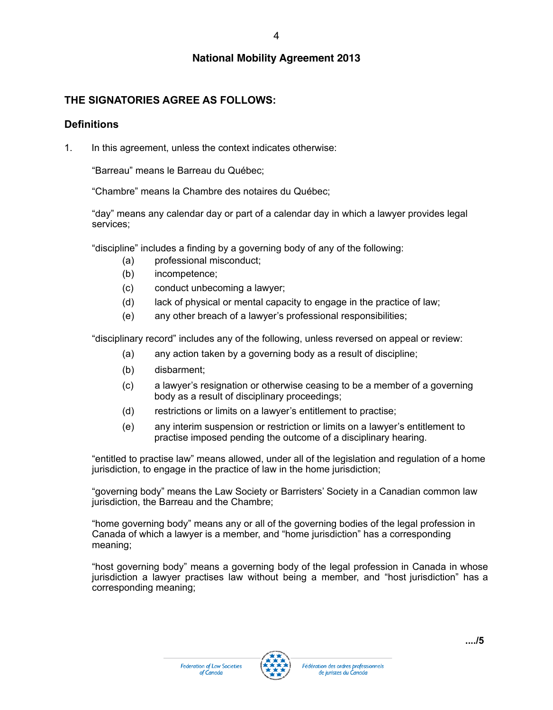#### **THE SIGNATORIES AGREE AS FOLLOWS:**

#### **Definitions**

1. In this agreement, unless the context indicates otherwise:

"Barreau" means le Barreau du Québec;

"Chambre" means la Chambre des notaires du Québec;

"day" means any calendar day or part of a calendar day in which a lawyer provides legal services;

"discipline" includes a finding by a governing body of any of the following:

- (a) professional misconduct;
- (b) incompetence;
- (c) conduct unbecoming a lawyer;
- (d) lack of physical or mental capacity to engage in the practice of law;
- (e) any other breach of a lawyer's professional responsibilities;

"disciplinary record" includes any of the following, unless reversed on appeal or review:

- (a) any action taken by a governing body as a result of discipline;
- (b) disbarment;
- (c) a lawyer's resignation or otherwise ceasing to be a member of a governing body as a result of disciplinary proceedings;
- (d) restrictions or limits on a lawyer's entitlement to practise;
- (e) any interim suspension or restriction or limits on a lawyer's entitlement to practise imposed pending the outcome of a disciplinary hearing.

"entitled to practise law" means allowed, under all of the legislation and regulation of a home jurisdiction, to engage in the practice of law in the home jurisdiction;

"governing body" means the Law Society or Barristers' Society in a Canadian common law jurisdiction, the Barreau and the Chambre;

"home governing body" means any or all of the governing bodies of the legal profession in Canada of which a lawyer is a member, and "home jurisdiction" has a corresponding meaning;

"host governing body" means a governing body of the legal profession in Canada in whose jurisdiction a lawyer practises law without being a member, and "host jurisdiction" has a corresponding meaning;

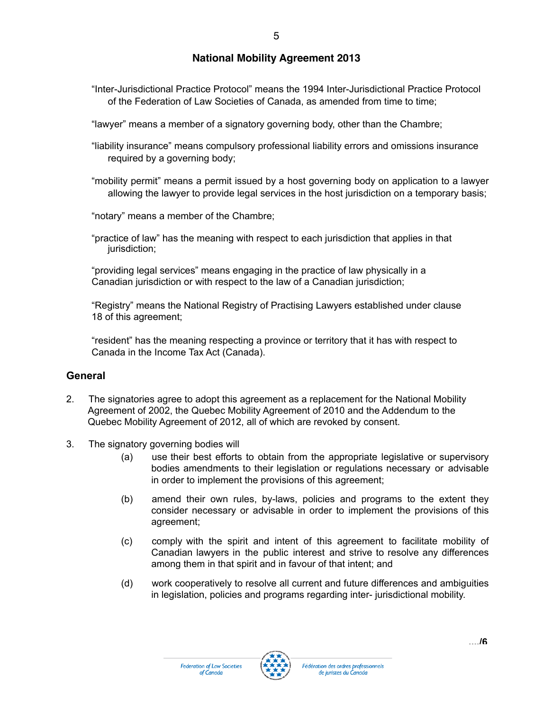"Inter-Jurisdictional Practice Protocol" means the 1994 Inter-Jurisdictional Practice Protocol of the Federation of Law Societies of Canada, as amended from time to time;

"lawyer" means a member of a signatory governing body, other than the Chambre;

"liability insurance" means compulsory professional liability errors and omissions insurance required by a governing body;

"mobility permit" means a permit issued by a host governing body on application to a lawyer allowing the lawyer to provide legal services in the host jurisdiction on a temporary basis;

"notary" means a member of the Chambre;

"practice of law" has the meaning with respect to each jurisdiction that applies in that jurisdiction;

"providing legal services" means engaging in the practice of law physically in a Canadian jurisdiction or with respect to the law of a Canadian jurisdiction;

"Registry" means the National Registry of Practising Lawyers established under clause 18 of this agreement;

"resident" has the meaning respecting a province or territory that it has with respect to Canada in the Income Tax Act (Canada).

#### **General**

- 2. The signatories agree to adopt this agreement as a replacement for the National Mobility Agreement of 2002, the Quebec Mobility Agreement of 2010 and the Addendum to the Quebec Mobility Agreement of 2012, all of which are revoked by consent.
- 3. The signatory governing bodies will
	- (a) use their best efforts to obtain from the appropriate legislative or supervisory bodies amendments to their legislation or regulations necessary or advisable in order to implement the provisions of this agreement;
	- (b) amend their own rules, by-laws, policies and programs to the extent they consider necessary or advisable in order to implement the provisions of this agreement;
	- (c) comply with the spirit and intent of this agreement to facilitate mobility of Canadian lawyers in the public interest and strive to resolve any differences among them in that spirit and in favour of that intent; and
	- (d) work cooperatively to resolve all current and future differences and ambiguities in legislation, policies and programs regarding inter- jurisdictional mobility.

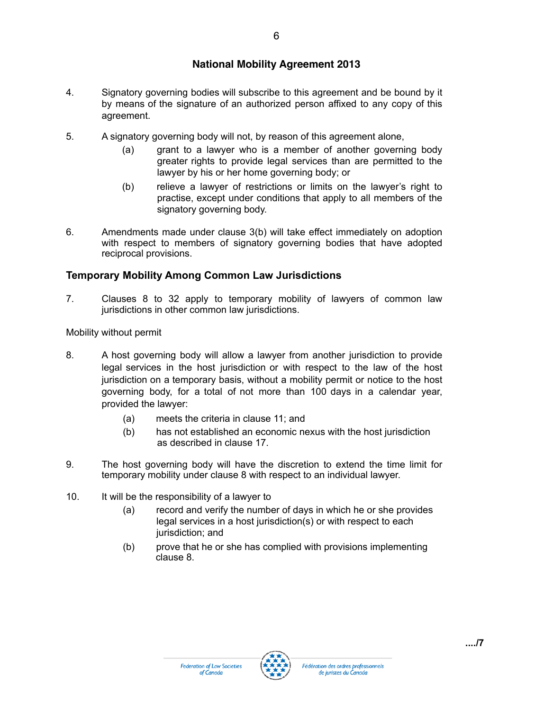- 4. Signatory governing bodies will subscribe to this agreement and be bound by it by means of the signature of an authorized person affixed to any copy of this agreement.
- 5. A signatory governing body will not, by reason of this agreement alone,
	- (a) grant to a lawyer who is a member of another governing body greater rights to provide legal services than are permitted to the lawyer by his or her home governing body; or
	- (b) relieve a lawyer of restrictions or limits on the lawyer's right to practise, except under conditions that apply to all members of the signatory governing body.
- 6. Amendments made under clause 3(b) will take effect immediately on adoption with respect to members of signatory governing bodies that have adopted reciprocal provisions.

#### **Temporary Mobility Among Common Law Jurisdictions**

7. Clauses 8 to 32 apply to temporary mobility of lawyers of common law jurisdictions in other common law jurisdictions.

Mobility without permit

- 8. A host governing body will allow a lawyer from another jurisdiction to provide legal services in the host jurisdiction or with respect to the law of the host jurisdiction on a temporary basis, without a mobility permit or notice to the host governing body, for a total of not more than 100 days in a calendar year, provided the lawyer:
	- (a) meets the criteria in clause 11; and
	- (b) has not established an economic nexus with the host jurisdiction as described in clause 17.
- 9. The host governing body will have the discretion to extend the time limit for temporary mobility under clause 8 with respect to an individual lawyer.
- 10. It will be the responsibility of a lawyer to
	- (a) record and verify the number of days in which he or she provides legal services in a host jurisdiction(s) or with respect to each jurisdiction; and
	- (b) prove that he or she has complied with provisions implementing clause 8.

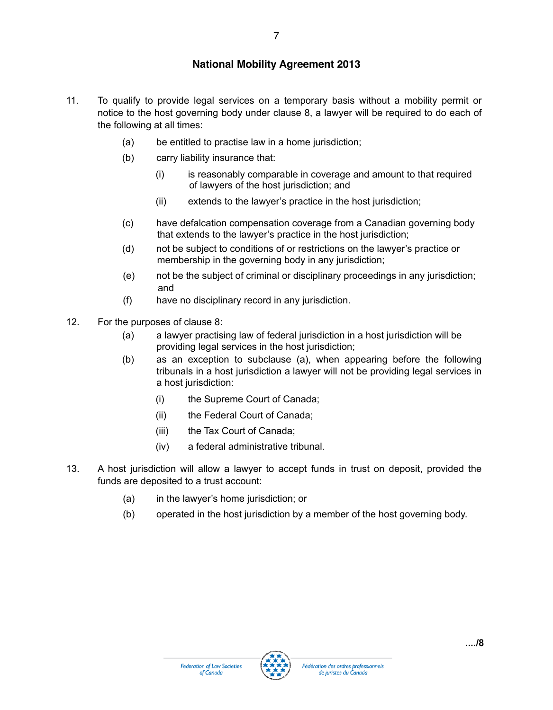- 11. To qualify to provide legal services on a temporary basis without a mobility permit or notice to the host governing body under clause 8, a lawyer will be required to do each of the following at all times:
	- (a) be entitled to practise law in a home jurisdiction;
	- (b) carry liability insurance that:
		- (i) is reasonably comparable in coverage and amount to that required of lawyers of the host jurisdiction; and
		- (ii) extends to the lawyer's practice in the host jurisdiction;
	- (c) have defalcation compensation coverage from a Canadian governing body that extends to the lawyer's practice in the host jurisdiction;
	- (d) not be subject to conditions of or restrictions on the lawyer's practice or membership in the governing body in any jurisdiction;
	- (e) not be the subject of criminal or disciplinary proceedings in any jurisdiction; and
	- (f) have no disciplinary record in any jurisdiction.
- 12. For the purposes of clause 8:
	- (a) a lawyer practising law of federal jurisdiction in a host jurisdiction will be providing legal services in the host jurisdiction;
	- (b) as an exception to subclause (a), when appearing before the following tribunals in a host jurisdiction a lawyer will not be providing legal services in a host jurisdiction:
		- (i) the Supreme Court of Canada;
		- (ii) the Federal Court of Canada;
		- (iii) the Tax Court of Canada;
		- (iv) a federal administrative tribunal.
- 13. A host jurisdiction will allow a lawyer to accept funds in trust on deposit, provided the funds are deposited to a trust account:
	- (a) in the lawyer's home jurisdiction; or
	- (b) operated in the host jurisdiction by a member of the host governing body.

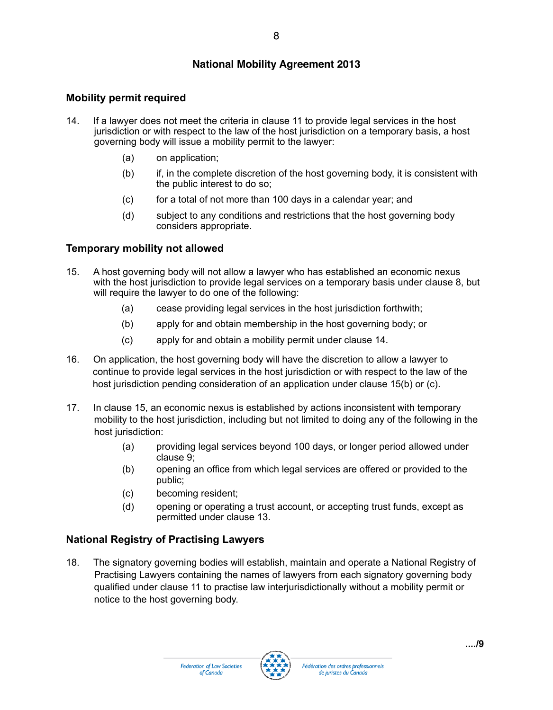#### **Mobility permit required**

- 14. If a lawyer does not meet the criteria in clause 11 to provide legal services in the host jurisdiction or with respect to the law of the host jurisdiction on a temporary basis, a host governing body will issue a mobility permit to the lawyer:
	- (a) on application;
	- (b) if, in the complete discretion of the host governing body, it is consistent with the public interest to do so;
	- $(c)$  for a total of not more than 100 days in a calendar year; and
	- (d) subject to any conditions and restrictions that the host governing body considers appropriate.

#### **Temporary mobility not allowed**

- 15. A host governing body will not allow a lawyer who has established an economic nexus with the host jurisdiction to provide legal services on a temporary basis under clause 8, but will require the lawyer to do one of the following:
	- (a) cease providing legal services in the host jurisdiction forthwith;
	- (b) apply for and obtain membership in the host governing body; or
	- (c) apply for and obtain a mobility permit under clause 14.
- 16. On application, the host governing body will have the discretion to allow a lawyer to continue to provide legal services in the host jurisdiction or with respect to the law of the host jurisdiction pending consideration of an application under clause 15(b) or (c).
- 17. In clause 15, an economic nexus is established by actions inconsistent with temporary mobility to the host jurisdiction, including but not limited to doing any of the following in the host jurisdiction:
	- (a) providing legal services beyond 100 days, or longer period allowed under clause 9;
	- (b) opening an office from which legal services are offered or provided to the public;
	- (c) becoming resident;
	- (d) opening or operating a trust account, or accepting trust funds, except as permitted under clause 13.

#### **National Registry of Practising Lawyers**

18. The signatory governing bodies will establish, maintain and operate a National Registry of Practising Lawyers containing the names of lawyers from each signatory governing body qualified under clause 11 to practise law interjurisdictionally without a mobility permit or notice to the host governing body.

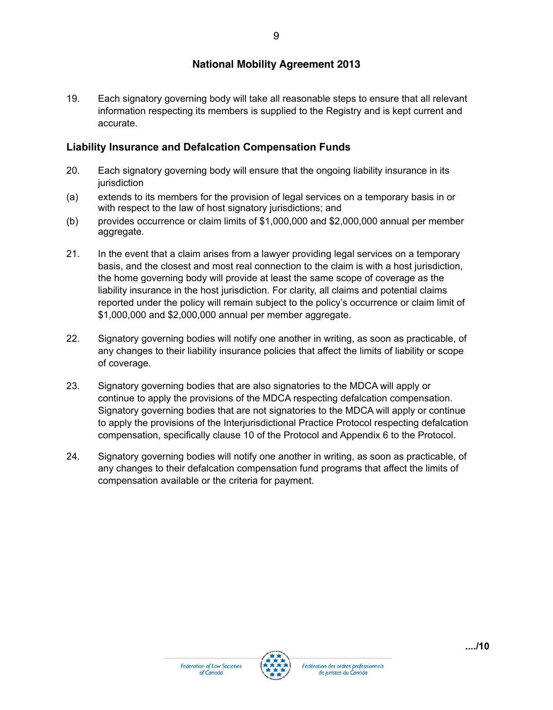19. Each signatory governing body will take all reasonable steps to ensure that all relevant information respecting its members is supplied to the Registry and is kept current and accurate.

#### **Liability Insurance and Defalcation Compensation Funds**

- 20. Each signatory governing body will ensure that the ongoing liability insurance in its iurisdiction
- (a) extends to its members for the provision of legal services on a temporary basis in or with respect to the law of host signatory jurisdictions; and
- (b) provides occurrence or claim limits of \$1,000,000 and \$2,000,000 annual per member aggregate.
- 21. In the event that a claim arises from a lawyer providing legal services on a temporary basis, and the closest and most real connection to the claim is with a host jurisdiction, the home governing body will provide at least the same scope of coverage as the liability insurance in the host jurisdiction. For clarity, all claims and potential claims reported under the policy will remain subject to the policy's occurrence or claim limit of \$1,000,000 and \$2,000,000 annual per member aggregate.
- 22. Signatory governing bodies will notify one another in writing, as soon as practicable, of any changes to their liability insurance policies that affect the limits of liability or scope of coverage.
- 23. Signatory governing bodies that are also signatories to the MDCA will apply or continue to apply the provisions of the MDCA respecting defalcation compensation. Signatory governing bodies that are not signatories to the MDCA will apply or continue to apply the provisions of the Interjurisdictional Practice Protocol respecting defalcation compensation, specifically clause 10 of the Protocol and Appendix 6 to the Protocol.
- 24. Signatory governing bodies will notify one another in writing, as soon as practicable, of any changes to their defalcation compensation fund programs that affect the limits of compensation available or the criteria for payment.

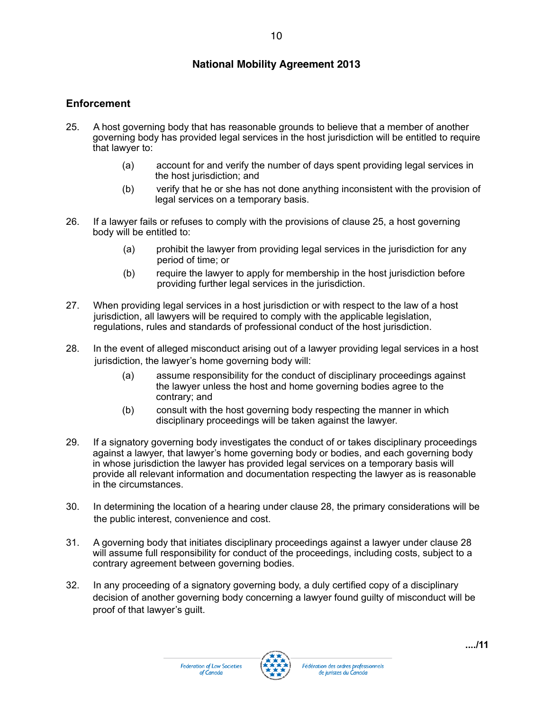#### **Enforcement**

- 25. A host governing body that has reasonable grounds to believe that a member of another governing body has provided legal services in the host jurisdiction will be entitled to require that lawyer to:
	- (a) account for and verify the number of days spent providing legal services in the host jurisdiction; and
	- (b) verify that he or she has not done anything inconsistent with the provision of legal services on a temporary basis.
- 26. If a lawyer fails or refuses to comply with the provisions of clause 25, a host governing body will be entitled to:
	- (a) prohibit the lawyer from providing legal services in the jurisdiction for any period of time; or
	- (b) require the lawyer to apply for membership in the host jurisdiction before providing further legal services in the jurisdiction.
- 27. When providing legal services in a host jurisdiction or with respect to the law of a host jurisdiction, all lawyers will be required to comply with the applicable legislation, regulations, rules and standards of professional conduct of the host jurisdiction.
- 28. In the event of alleged misconduct arising out of a lawyer providing legal services in a host jurisdiction, the lawyer's home governing body will:
	- (a) assume responsibility for the conduct of disciplinary proceedings against the lawyer unless the host and home governing bodies agree to the contrary; and
	- (b) consult with the host governing body respecting the manner in which disciplinary proceedings will be taken against the lawyer.
- 29. If a signatory governing body investigates the conduct of or takes disciplinary proceedings against a lawyer, that lawyer's home governing body or bodies, and each governing body in whose jurisdiction the lawyer has provided legal services on a temporary basis will provide all relevant information and documentation respecting the lawyer as is reasonable in the circumstances.
- 30. In determining the location of a hearing under clause 28, the primary considerations will be the public interest, convenience and cost.
- 31. A governing body that initiates disciplinary proceedings against a lawyer under clause 28 will assume full responsibility for conduct of the proceedings, including costs, subject to a contrary agreement between governing bodies.
- 32. In any proceeding of a signatory governing body, a duly certified copy of a disciplinary decision of another governing body concerning a lawyer found guilty of misconduct will be proof of that lawyer's guilt.



10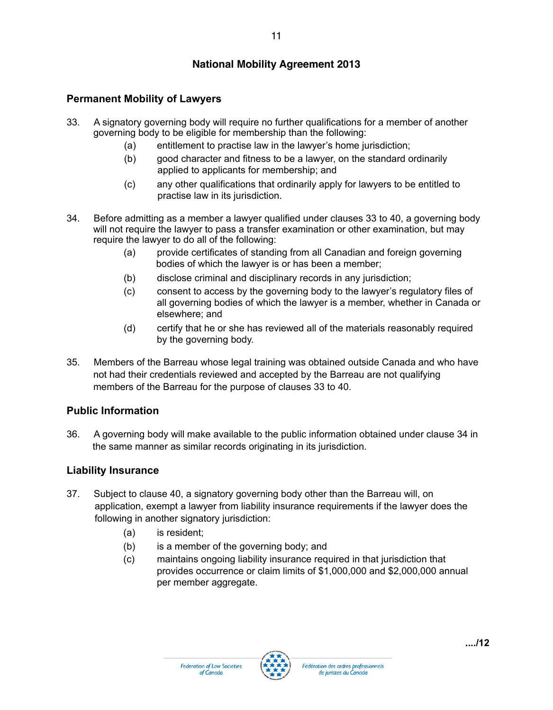# **Permanent Mobility of Lawyers**

- 33. A signatory governing body will require no further qualifications for a member of another governing body to be eligible for membership than the following:
	- (a) entitlement to practise law in the lawyer's home jurisdiction;
	- (b) good character and fitness to be a lawyer, on the standard ordinarily applied to applicants for membership; and
	- (c) any other qualifications that ordinarily apply for lawyers to be entitled to practise law in its jurisdiction.
- 34. Before admitting as a member a lawyer qualified under clauses 33 to 40, a governing body will not require the lawyer to pass a transfer examination or other examination, but may require the lawyer to do all of the following:
	- (a) provide certificates of standing from all Canadian and foreign governing bodies of which the lawyer is or has been a member;
	- (b) disclose criminal and disciplinary records in any jurisdiction;
	- (c) consent to access by the governing body to the lawyer's regulatory files of all governing bodies of which the lawyer is a member, whether in Canada or elsewhere; and
	- (d) certify that he or she has reviewed all of the materials reasonably required by the governing body.
- 35. Members of the Barreau whose legal training was obtained outside Canada and who have not had their credentials reviewed and accepted by the Barreau are not qualifying members of the Barreau for the purpose of clauses 33 to 40.

# **Public Information**

36. A governing body will make available to the public information obtained under clause 34 in the same manner as similar records originating in its jurisdiction.

# **Liability Insurance**

- 37. Subject to clause 40, a signatory governing body other than the Barreau will, on application, exempt a lawyer from liability insurance requirements if the lawyer does the following in another signatory jurisdiction:
	- (a) is resident;
	- (b) is a member of the governing body; and
	- (c) maintains ongoing liability insurance required in that jurisdiction that provides occurrence or claim limits of \$1,000,000 and \$2,000,000 annual per member aggregate.

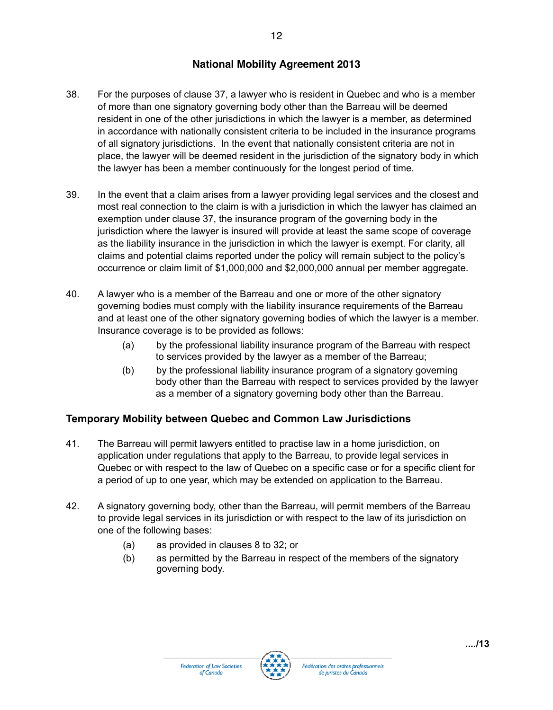- 38. For the purposes of clause 37, a lawyer who is resident in Quebec and who is a member of more than one signatory governing body other than the Barreau will be deemed resident in one of the other jurisdictions in which the lawyer is a member, as determined in accordance with nationally consistent criteria to be included in the insurance programs of all signatory jurisdictions. In the event that nationally consistent criteria are not in place, the lawyer will be deemed resident in the jurisdiction of the signatory body in which the lawyer has been a member continuously for the longest period of time.
- 39. In the event that a claim arises from a lawyer providing legal services and the closest and most real connection to the claim is with a jurisdiction in which the lawyer has claimed an exemption under clause 37, the insurance program of the governing body in the jurisdiction where the lawyer is insured will provide at least the same scope of coverage as the liability insurance in the jurisdiction in which the lawyer is exempt. For clarity, all claims and potential claims reported under the policy will remain subject to the policy's occurrence or claim limit of \$1,000,000 and \$2,000,000 annual per member aggregate.
- 40. A lawyer who is a member of the Barreau and one or more of the other signatory governing bodies must comply with the liability insurance requirements of the Barreau and at least one of the other signatory governing bodies of which the lawyer is a member. Insurance coverage is to be provided as follows:
	- (a) by the professional liability insurance program of the Barreau with respect to services provided by the lawyer as a member of the Barreau;
	- (b) by the professional liability insurance program of a signatory governing body other than the Barreau with respect to services provided by the lawyer as a member of a signatory governing body other than the Barreau.

# **Temporary Mobility between Quebec and Common Law Jurisdictions**

- 41. The Barreau will permit lawyers entitled to practise law in a home jurisdiction, on application under regulations that apply to the Barreau, to provide legal services in Quebec or with respect to the law of Quebec on a specific case or for a specific client for a period of up to one year, which may be extended on application to the Barreau.
- 42. A signatory governing body, other than the Barreau, will permit members of the Barreau to provide legal services in its jurisdiction or with respect to the law of its jurisdiction on one of the following bases:
	- (a) as provided in clauses 8 to 32; or
	- (b) as permitted by the Barreau in respect of the members of the signatory governing body.



12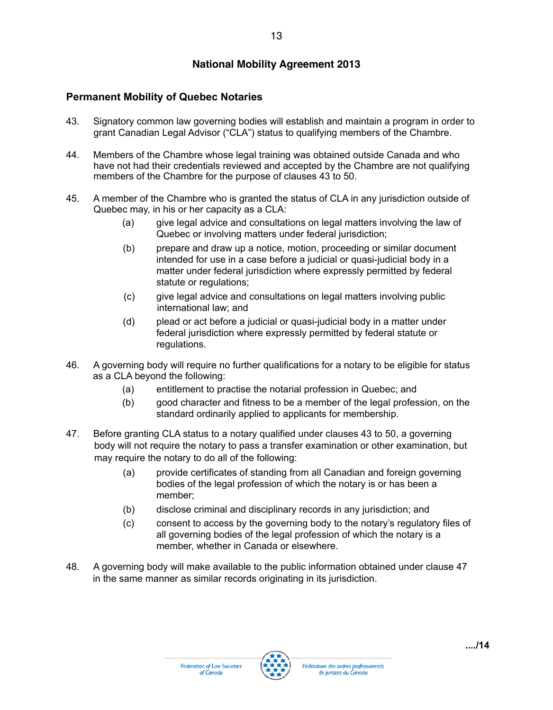# **Permanent Mobility of Quebec Notaries**

- 43. Signatory common law governing bodies will establish and maintain a program in order to grant Canadian Legal Advisor ("CLA") status to qualifying members of the Chambre.
- 44. Members of the Chambre whose legal training was obtained outside Canada and who have not had their credentials reviewed and accepted by the Chambre are not qualifying members of the Chambre for the purpose of clauses 43 to 50.
- 45. A member of the Chambre who is granted the status of CLA in any jurisdiction outside of Quebec may, in his or her capacity as a CLA:
	- (a) give legal advice and consultations on legal matters involving the law of Quebec or involving matters under federal jurisdiction;
	- (b) prepare and draw up a notice, motion, proceeding or similar document intended for use in a case before a judicial or quasi-judicial body in a matter under federal jurisdiction where expressly permitted by federal statute or regulations;
	- (c) give legal advice and consultations on legal matters involving public international law; and
	- (d) plead or act before a judicial or quasi-judicial body in a matter under federal jurisdiction where expressly permitted by federal statute or regulations.
- 46. A governing body will require no further qualifications for a notary to be eligible for status as a CLA beyond the following:
	- (a) entitlement to practise the notarial profession in Quebec; and
	- (b) good character and fitness to be a member of the legal profession, on the standard ordinarily applied to applicants for membership.
- 47. Before granting CLA status to a notary qualified under clauses 43 to 50, a governing body will not require the notary to pass a transfer examination or other examination, but may require the notary to do all of the following:
	- (a) provide certificates of standing from all Canadian and foreign governing bodies of the legal profession of which the notary is or has been a member;
	- (b) disclose criminal and disciplinary records in any jurisdiction; and
	- (c) consent to access by the governing body to the notary's regulatory files of all governing bodies of the legal profession of which the notary is a member, whether in Canada or elsewhere.
- 48. A governing body will make available to the public information obtained under clause 47 in the same manner as similar records originating in its jurisdiction.

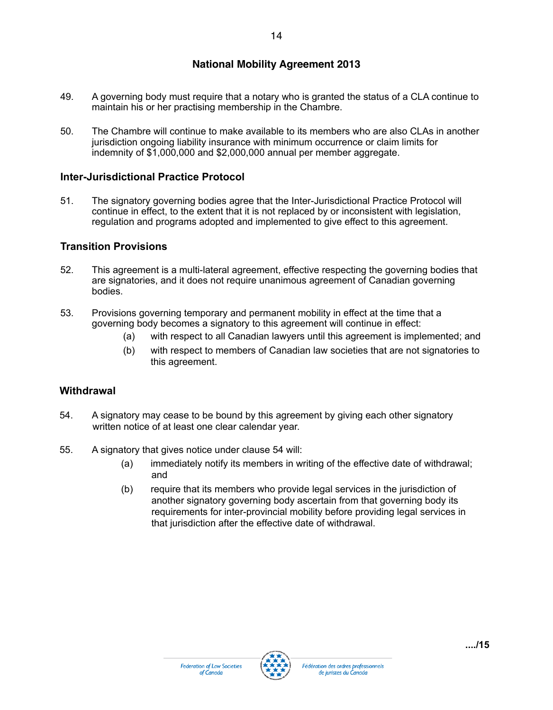14

- 49. A governing body must require that a notary who is granted the status of a CLA continue to maintain his or her practising membership in the Chambre.
- 50. The Chambre will continue to make available to its members who are also CLAs in another jurisdiction ongoing liability insurance with minimum occurrence or claim limits for indemnity of \$1,000,000 and \$2,000,000 annual per member aggregate.

#### **Inter-Jurisdictional Practice Protocol**

51. The signatory governing bodies agree that the Inter-Jurisdictional Practice Protocol will continue in effect, to the extent that it is not replaced by or inconsistent with legislation, regulation and programs adopted and implemented to give effect to this agreement.

#### **Transition Provisions**

- 52. This agreement is a multi-lateral agreement, effective respecting the governing bodies that are signatories, and it does not require unanimous agreement of Canadian governing bodies.
- 53. Provisions governing temporary and permanent mobility in effect at the time that a governing body becomes a signatory to this agreement will continue in effect:
	- (a) with respect to all Canadian lawyers until this agreement is implemented; and
	- (b) with respect to members of Canadian law societies that are not signatories to this agreement.

#### **Withdrawal**

- 54. A signatory may cease to be bound by this agreement by giving each other signatory written notice of at least one clear calendar year.
- 55. A signatory that gives notice under clause 54 will:
	- (a) immediately notify its members in writing of the effective date of withdrawal; and
	- (b) require that its members who provide legal services in the jurisdiction of another signatory governing body ascertain from that governing body its requirements for inter-provincial mobility before providing legal services in that jurisdiction after the effective date of withdrawal.